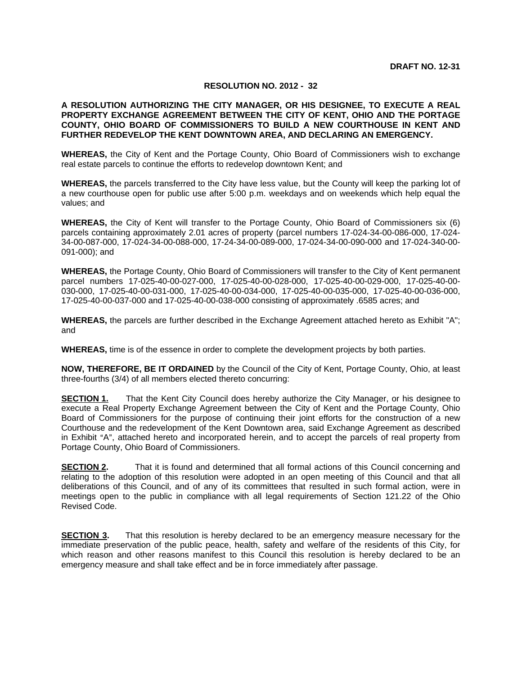#### **RESOLUTION NO. 2012 - 32**

#### **A RESOLUTION AUTHORIZING THE CITY MANAGER, OR HIS DESIGNEE, TO EXECUTE A REAL PROPERTY EXCHANGE AGREEMENT BETWEEN THE CITY OF KENT, OHIO AND THE PORTAGE COUNTY, OHIO BOARD OF COMMISSIONERS TO BUILD A NEW COURTHOUSE IN KENT AND FURTHER REDEVELOP THE KENT DOWNTOWN AREA, AND DECLARING AN EMERGENCY.**

**WHEREAS,** the City of Kent and the Portage County, Ohio Board of Commissioners wish to exchange real estate parcels to continue the efforts to redevelop downtown Kent; and

**WHEREAS,** the parcels transferred to the City have less value, but the County will keep the parking lot of a new courthouse open for public use after 5:00 p.m. weekdays and on weekends which help equal the values; and

**WHEREAS,** the City of Kent will transfer to the Portage County, Ohio Board of Commissioners six (6) parcels containing approximately 2.01 acres of property (parcel numbers 17-024-34-00-086-000, 17-024- 34-00-087-000, 17-024-34-00-088-000, 17-24-34-00-089-000, 17-024-34-00-090-000 and 17-024-340-00- 091-000); and

**WHEREAS,** the Portage County, Ohio Board of Commissioners will transfer to the City of Kent permanent parcel numbers 17-025-40-00-027-000, 17-025-40-00-028-000, 17-025-40-00-029-000, 17-025-40-00- 030-000, 17-025-40-00-031-000, 17-025-40-00-034-000, 17-025-40-00-035-000, 17-025-40-00-036-000, 17-025-40-00-037-000 and 17-025-40-00-038-000 consisting of approximately .6585 acres; and

**WHEREAS,** the parcels are further described in the Exchange Agreement attached hereto as Exhibit "A"; and

**WHEREAS,** time is of the essence in order to complete the development projects by both parties.

**NOW, THEREFORE, BE IT ORDAINED** by the Council of the City of Kent, Portage County, Ohio, at least three-fourths (3/4) of all members elected thereto concurring:

**SECTION 1.** That the Kent City Council does hereby authorize the City Manager, or his designee to execute a Real Property Exchange Agreement between the City of Kent and the Portage County, Ohio Board of Commissioners for the purpose of continuing their joint efforts for the construction of a new Courthouse and the redevelopment of the Kent Downtown area, said Exchange Agreement as described in Exhibit "A", attached hereto and incorporated herein, and to accept the parcels of real property from Portage County, Ohio Board of Commissioners.

**SECTION 2.** That it is found and determined that all formal actions of this Council concerning and relating to the adoption of this resolution were adopted in an open meeting of this Council and that all deliberations of this Council, and of any of its committees that resulted in such formal action, were in meetings open to the public in compliance with all legal requirements of Section 121.22 of the Ohio Revised Code.

**SECTION 3.** That this resolution is hereby declared to be an emergency measure necessary for the immediate preservation of the public peace, health, safety and welfare of the residents of this City, for which reason and other reasons manifest to this Council this resolution is hereby declared to be an emergency measure and shall take effect and be in force immediately after passage.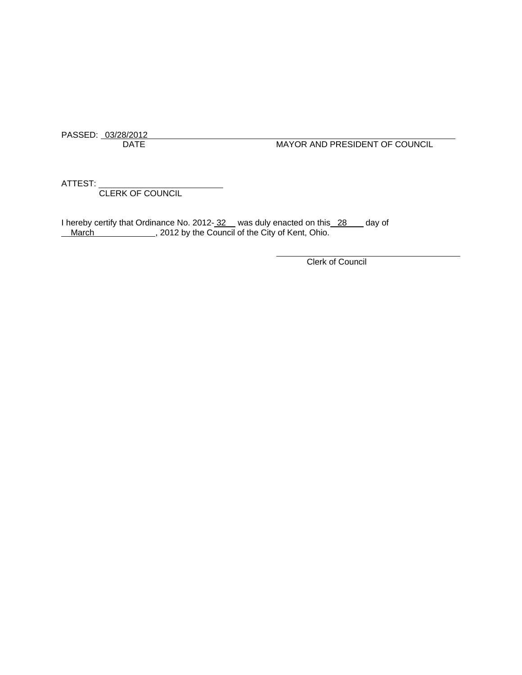PASSED: 03/28/2012

DATE MAYOR AND PRESIDENT OF COUNCIL

ATTEST:

CLERK OF COUNCIL

I hereby certify that Ordinance No. 2012- 32 was duly enacted on this 28 day of March March , 2012 by the Council of the City of Kent, Ohio.

Clerk of Council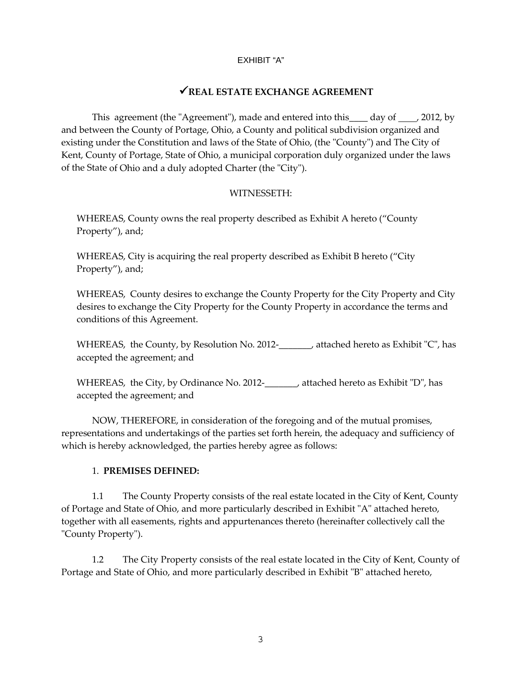#### EXHIBIT "A"

# 9**REAL ESTATE EXCHANGE AGREEMENT**

This agreement (the "Agreement"), made and entered into this  $\frac{1}{2}$  day of , 2012, by and between the County of Portage, Ohio, a County and political subdivision organized and existing under the Constitution and laws of the State of Ohio, (the "County") and The City of Kent, County of Portage, State of Ohio, a municipal corporation duly organized under the laws of the State of Ohio and a duly adopted Charter (the "City").

#### WITNESSETH:

WHEREAS, County owns the real property described as Exhibit A hereto ("County Property"), and;

WHEREAS, City is acquiring the real property described as Exhibit B hereto ("City Property"), and;

WHEREAS, County desires to exchange the County Property for the City Property and City desires to exchange the City Property for the County Property in accordance the terms and conditions of this Agreement.

WHEREAS, the County, by Resolution No. 2012-<br>
, attached hereto as Exhibit "C", has accepted the agreement; and

WHEREAS, the City, by Ordinance No. 2012-\_\_\_\_\_\_, attached hereto as Exhibit "D", has accepted the agreement; and

NOW, THEREFORE, in consideration of the foregoing and of the mutual promises, representations and undertakings of the parties set forth herein, the adequacy and sufficiency of which is hereby acknowledged, the parties hereby agree as follows:

### 1. **PREMISES DEFINED:**

1.1 The County Property consists of the real estate located in the City of Kent, County of Portage and State of Ohio, and more particularly described in Exhibit "A" attached hereto, together with all easements, rights and appurtenances thereto (hereinafter collectively call the "County Property").

1.2 The City Property consists of the real estate located in the City of Kent, County of Portage and State of Ohio, and more particularly described in Exhibit "B" attached hereto,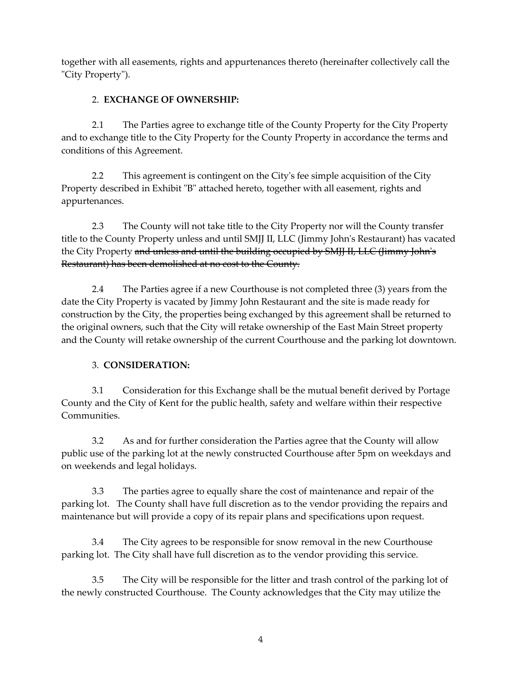together with all easements, rights and appurtenances thereto (hereinafter collectively call the "City Property").

## 2. **EXCHANGE OF OWNERSHIP:**

2.1 The Parties agree to exchange title of the County Property for the City Property and to exchange title to the City Property for the County Property in accordance the terms and conditions of this Agreement.

2.2 This agreement is contingent on the City's fee simple acquisition of the City Property described in Exhibit "B" attached hereto, together with all easement, rights and appurtenances.

2.3 The County will not take title to the City Property nor will the County transfer title to the County Property unless and until SMJJ II, LLC (Jimmy Johnʹs Restaurant) has vacated the City Property and unless and until the building occupied by SMJJ II, LLC (Jimmy John's Restaurant) has been demolished at no cost to the County.

2.4 The Parties agree if a new Courthouse is not completed three (3) years from the date the City Property is vacated by Jimmy John Restaurant and the site is made ready for construction by the City, the properties being exchanged by this agreement shall be returned to the original owners, such that the City will retake ownership of the East Main Street property and the County will retake ownership of the current Courthouse and the parking lot downtown.

# 3. **CONSIDERATION:**

3.1 Consideration for this Exchange shall be the mutual benefit derived by Portage County and the City of Kent for the public health, safety and welfare within their respective Communities.

3.2 As and for further consideration the Parties agree that the County will allow public use of the parking lot at the newly constructed Courthouse after 5pm on weekdays and on weekends and legal holidays.

3.3 The parties agree to equally share the cost of maintenance and repair of the parking lot. The County shall have full discretion as to the vendor providing the repairs and maintenance but will provide a copy of its repair plans and specifications upon request.

3.4 The City agrees to be responsible for snow removal in the new Courthouse parking lot. The City shall have full discretion as to the vendor providing this service.

3.5 The City will be responsible for the litter and trash control of the parking lot of the newly constructed Courthouse. The County acknowledges that the City may utilize the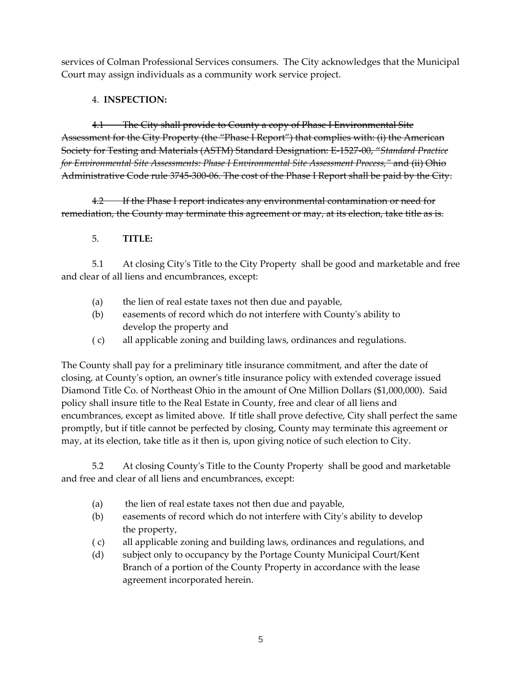services of Colman Professional Services consumers. The City acknowledges that the Municipal Court may assign individuals as a community work service project.

## 4. **INSPECTION:**

4.1 The City shall provide to County a copy of Phase I Environmental Site Assessment for the City Property (the "Phase I Report") that complies with: (i) the American Society for Testing and Materials (ASTM) Standard Designation: E‐1527‐00, "*Standard Practice for Environmental Site Assessments: Phase I Environmental Site Assessment Process,"* and (ii) Ohio Administrative Code rule 3745‐300‐06. The cost of the Phase I Report shall be paid by the City.

4.2 If the Phase I report indicates any environmental contamination or need for remediation, the County may terminate this agreement or may, at its election, take title as is.

# 5. **TITLE:**

5.1 At closing Cityʹs Title to the City Property shall be good and marketable and free and clear of all liens and encumbrances, except:

- (a) the lien of real estate taxes not then due and payable,
- (b) easements of record which do not interfere with Countyʹs ability to develop the property and
- ( c) all applicable zoning and building laws, ordinances and regulations.

The County shall pay for a preliminary title insurance commitment, and after the date of closing, at Countyʹs option, an ownerʹs title insurance policy with extended coverage issued Diamond Title Co. of Northeast Ohio in the amount of One Million Dollars (\$1,000,000). Said policy shall insure title to the Real Estate in County, free and clear of all liens and encumbrances, except as limited above. If title shall prove defective, City shall perfect the same promptly, but if title cannot be perfected by closing, County may terminate this agreement or may, at its election, take title as it then is, upon giving notice of such election to City.

5.2 At closing Countyʹs Title to the County Property shall be good and marketable and free and clear of all liens and encumbrances, except:

- (a) the lien of real estate taxes not then due and payable,
- (b) easements of record which do not interfere with Cityʹs ability to develop the property,
- ( c) all applicable zoning and building laws, ordinances and regulations, and
- (d) subject only to occupancy by the Portage County Municipal Court/Kent Branch of a portion of the County Property in accordance with the lease agreement incorporated herein.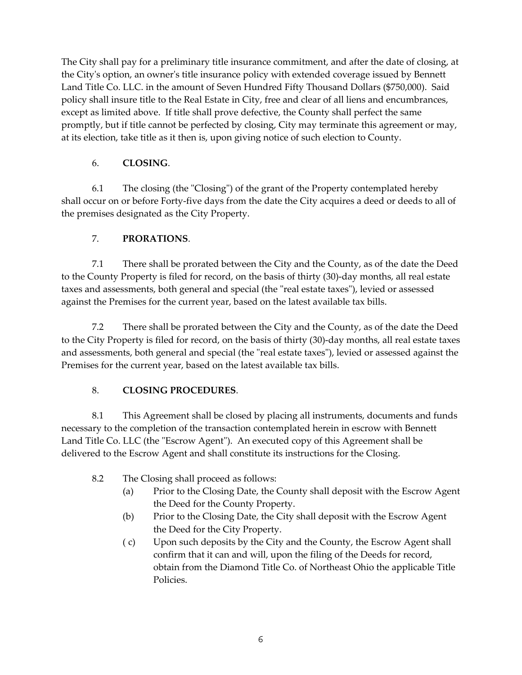The City shall pay for a preliminary title insurance commitment, and after the date of closing, at the City's option, an owner's title insurance policy with extended coverage issued by Bennett Land Title Co. LLC. in the amount of Seven Hundred Fifty Thousand Dollars (\$750,000). Said policy shall insure title to the Real Estate in City, free and clear of all liens and encumbrances, except as limited above. If title shall prove defective, the County shall perfect the same promptly, but if title cannot be perfected by closing, City may terminate this agreement or may, at its election, take title as it then is, upon giving notice of such election to County.

# 6. **CLOSING**.

6.1 The closing (the "Closing") of the grant of the Property contemplated hereby shall occur on or before Forty‐five days from the date the City acquires a deed or deeds to all of the premises designated as the City Property.

# 7. **PRORATIONS**.

7.1 There shall be prorated between the City and the County, as of the date the Deed to the County Property is filed for record, on the basis of thirty (30)-day months, all real estate taxes and assessments, both general and special (the "real estate taxes"), levied or assessed against the Premises for the current year, based on the latest available tax bills.

7.2 There shall be prorated between the City and the County, as of the date the Deed to the City Property is filed for record, on the basis of thirty (30)‐day months, all real estate taxes and assessments, both general and special (the "real estate taxes"), levied or assessed against the Premises for the current year, based on the latest available tax bills.

### 8. **CLOSING PROCEDURES**.

8.1 This Agreement shall be closed by placing all instruments, documents and funds necessary to the completion of the transaction contemplated herein in escrow with Bennett Land Title Co. LLC (the "Escrow Agent"). An executed copy of this Agreement shall be delivered to the Escrow Agent and shall constitute its instructions for the Closing.

- 8.2 The Closing shall proceed as follows:
	- (a) Prior to the Closing Date, the County shall deposit with the Escrow Agent the Deed for the County Property.
	- (b) Prior to the Closing Date, the City shall deposit with the Escrow Agent the Deed for the City Property.
	- ( c) Upon such deposits by the City and the County, the Escrow Agent shall confirm that it can and will, upon the filing of the Deeds for record, obtain from the Diamond Title Co. of Northeast Ohio the applicable Title Policies.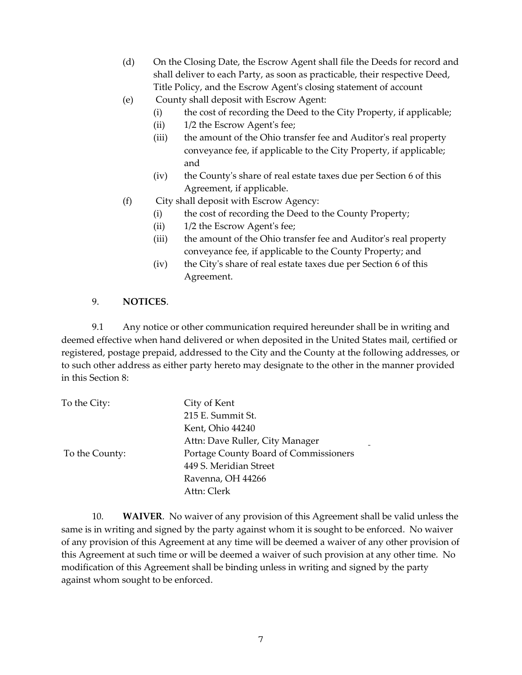- (d) On the Closing Date, the Escrow Agent shall file the Deeds for record and shall deliver to each Party, as soon as practicable, their respective Deed, Title Policy, and the Escrow Agentʹs closing statement of account
- (e) County shall deposit with Escrow Agent:
	- (i) the cost of recording the Deed to the City Property, if applicable;
	- (ii) 1/2 the Escrow Agent's fee;
	- (iii) the amount of the Ohio transfer fee and Auditor's real property conveyance fee, if applicable to the City Property, if applicable; and
	- (iv) the Countyʹs share of real estate taxes due per Section 6 of this Agreement, if applicable.
- (f) City shall deposit with Escrow Agency:
	- (i) the cost of recording the Deed to the County Property;
	- (ii) 1/2 the Escrow Agent's fee;
	- (iii) the amount of the Ohio transfer fee and Auditor's real property conveyance fee, if applicable to the County Property; and
	- $(iv)$  the City's share of real estate taxes due per Section 6 of this Agreement.

#### 9. **NOTICES**.

9.1 Any notice or other communication required hereunder shall be in writing and deemed effective when hand delivered or when deposited in the United States mail, certified or registered, postage prepaid, addressed to the City and the County at the following addresses, or to such other address as either party hereto may designate to the other in the manner provided in this Section 8:

| To the City:   | City of Kent                          |
|----------------|---------------------------------------|
|                | 215 E. Summit St.                     |
|                | Kent, Ohio 44240                      |
|                | Attn: Dave Ruller, City Manager       |
| To the County: | Portage County Board of Commissioners |
|                | 449 S. Meridian Street                |
|                | Ravenna, OH 44266                     |
|                | Attn: Clerk                           |
|                |                                       |

10. **WAIVER**. No waiver of any provision of this Agreement shall be valid unless the same is in writing and signed by the party against whom it is sought to be enforced. No waiver of any provision of this Agreement at any time will be deemed a waiver of any other provision of this Agreement at such time or will be deemed a waiver of such provision at any other time. No modification of this Agreement shall be binding unless in writing and signed by the party against whom sought to be enforced.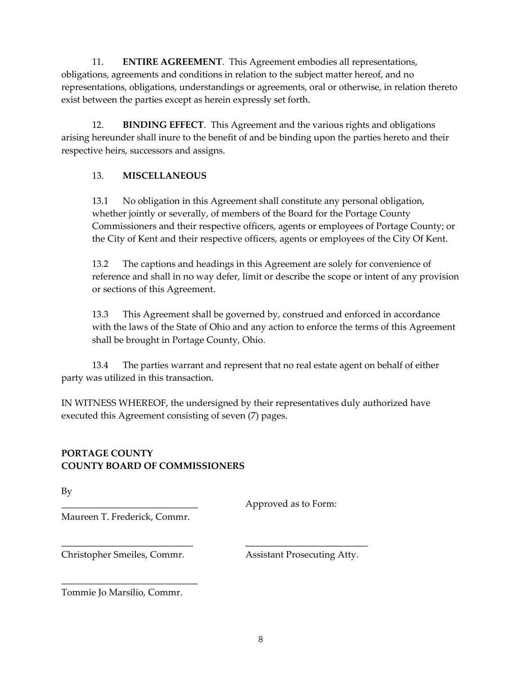11. **ENTIRE AGREEMENT**. This Agreement embodies all representations, obligations, agreements and conditions in relation to the subject matter hereof, and no representations, obligations, understandings or agreements, oral or otherwise, in relation thereto exist between the parties except as herein expressly set forth.

12. **BINDING EFFECT**. This Agreement and the various rights and obligations arising hereunder shall inure to the benefit of and be binding upon the parties hereto and their respective heirs, successors and assigns.

### 13. **MISCELLANEOUS**

13.1 No obligation in this Agreement shall constitute any personal obligation, whether jointly or severally, of members of the Board for the Portage County Commissioners and their respective officers, agents or employees of Portage County; or the City of Kent and their respective officers, agents or employees of the City Of Kent.

13.2 The captions and headings in this Agreement are solely for convenience of reference and shall in no way defer, limit or describe the scope or intent of any provision or sections of this Agreement.

13.3 This Agreement shall be governed by, construed and enforced in accordance with the laws of the State of Ohio and any action to enforce the terms of this Agreement shall be brought in Portage County, Ohio.

13.4 The parties warrant and represent that no real estate agent on behalf of either party was utilized in this transaction.

IN WITNESS WHEREOF, the undersigned by their representatives duly authorized have executed this Agreement consisting of seven (7) pages.

# **PORTAGE COUNTY COUNTY BOARD OF COMMISSIONERS**

By

Approved as to Form:

Maureen T. Frederick, Commr.

\_\_\_\_\_\_\_\_\_\_\_\_\_\_\_\_\_\_\_\_\_\_\_\_\_\_\_\_ \_\_\_\_\_\_\_\_\_\_\_\_\_\_\_\_\_\_\_\_\_\_\_\_\_\_

Christopher Smeiles, Commr. Assistant Prosecuting Atty.

Tommie Jo Marsilio, Commr.

\_\_\_\_\_\_\_\_\_\_\_\_\_\_\_\_\_\_\_\_\_\_\_\_\_\_\_\_\_